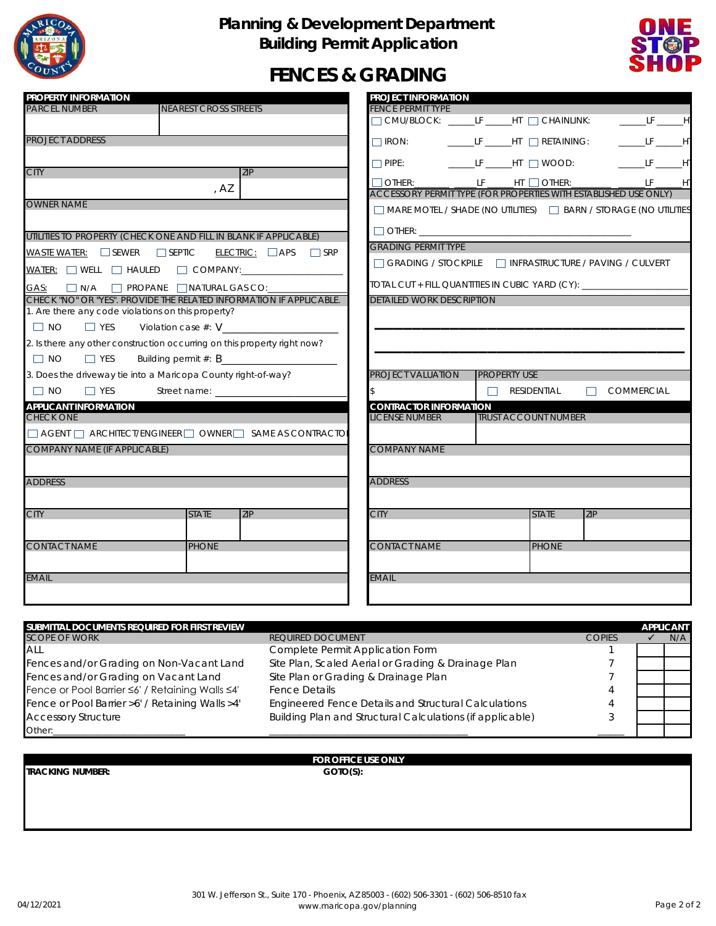

### **Planning & Development Department Building Permit Application**



## **FENCES & GRADING**

| <b>PROPERTY INFORMATION</b>                      |                                                                                                                                                               | <b>PROJECT INFORMATION</b>                             |                                                                     |                   |  |
|--------------------------------------------------|---------------------------------------------------------------------------------------------------------------------------------------------------------------|--------------------------------------------------------|---------------------------------------------------------------------|-------------------|--|
| <b>PARCEL NUMBER</b>                             | <b>NEAREST CROSS STREETS</b>                                                                                                                                  | <b>FENCE PERMIT TYPE</b>                               |                                                                     |                   |  |
|                                                  |                                                                                                                                                               |                                                        | CMU/BLOCK: _____LF _____HT _ CHAINLINK:                             | $L = LF$ $H$      |  |
| <b>PROJECT ADDRESS</b>                           |                                                                                                                                                               |                                                        | □ IRON: ________LF ______HT _ _ RETAINING: __________LF _______H'   |                   |  |
|                                                  |                                                                                                                                                               |                                                        | □ PIPE: __________LF _______HT _ _] WOOD: _____________LF _______H' |                   |  |
| <b>CITY</b>                                      | 7IP                                                                                                                                                           |                                                        | $\Box$ OTHER: ______ ______LF _____HT $\Box$ OTHER: _______ ___     | LF 1              |  |
|                                                  | , AZ                                                                                                                                                          |                                                        | ACCESSORY PERMIT TYPE (FOR PROPERTIES WITH ESTABLISHED USE ONLY)    |                   |  |
| <b>OWNER NAME</b>                                |                                                                                                                                                               |                                                        | MARE MOTEL / SHADE (NO UTILITIES) ARN / STORAGE (NO UTILITIES       |                   |  |
|                                                  | UTILITIES TO PROPERTY (CHECK ONE AND FILL IN BLANK IF APPLICABLE)                                                                                             | $\Box$ OTHER: $\_\_\_\_\_\_\_\_\_\_\_\_\_\_\_\_\_\_\_$ |                                                                     |                   |  |
|                                                  | WASTE WATER: $\Box$ SEWER $\Box$ SEPTIC ELECTRIC: $\Box$ APS $\Box$ SRP                                                                                       | <b>GRADING PERMIT TYPE</b>                             |                                                                     |                   |  |
|                                                  | WATER: WELL HAULED COMPANY: _______________                                                                                                                   |                                                        | GRADING / STOCKPILE   INFRASTRUCTURE / PAVING / CULVERT             |                   |  |
| GAS: N/A C PROPANE NATURAL GAS CO:               |                                                                                                                                                               |                                                        | TOTAL CUT + FILL QUANTITIES IN CUBIC YARD (CY):                     |                   |  |
|                                                  | CHECK "NO" OR "YES". PROVIDE THE RELATED INFORMATION IF APPLICABLE.<br><b>DETAILED WORK DESCRIPTION</b><br>1. Are there any code violations on this property? |                                                        |                                                                     |                   |  |
| $\Box$ NO<br>$\Box$ YES                          | Violation case $#: V$                                                                                                                                         |                                                        |                                                                     |                   |  |
|                                                  | 2. Is there any other construction occurring on this property right now?                                                                                      |                                                        |                                                                     |                   |  |
| $\Box$ NO<br>$\Box$ YES                          |                                                                                                                                                               |                                                        |                                                                     |                   |  |
|                                                  | 3. Does the driveway tie into a Maricopa County right-of-way?                                                                                                 | <b>PROJECT VALUATION</b>                               | <b>PROPERTY USE</b>                                                 |                   |  |
| $\Box$ NO<br>$\Box$ YES                          |                                                                                                                                                               | \$                                                     | $\Box$ RESIDENTIAL                                                  | $\Box$ COMMERCIAL |  |
| <b>APPLICANT INFORMATION</b><br><b>CHECK ONE</b> |                                                                                                                                                               | <b>CONTRACTOR INFORMATION</b><br><b>LICENSE NUMBER</b> | <b>TRUST ACCOUNT NUMBER</b>                                         |                   |  |
|                                                  | $\Box$ AGENT $\Box$ ARCHITECT/ENGINEER $\Box$ OWNER $\Box$ SAME AS CONTRACTO                                                                                  |                                                        |                                                                     |                   |  |
| <b>COMPANY NAME (IF APPLICABLE)</b>              |                                                                                                                                                               | <b>COMPANY NAME</b>                                    |                                                                     |                   |  |
| <b>ADDRESS</b>                                   |                                                                                                                                                               | <b>ADDRESS</b>                                         |                                                                     |                   |  |
| <b>CITY</b>                                      | <b>STATE</b><br><b>ZIP</b>                                                                                                                                    | <b>CITY</b>                                            | <b>ZIP</b><br><b>STATE</b>                                          |                   |  |
|                                                  |                                                                                                                                                               |                                                        |                                                                     |                   |  |
| <b>CONTACT NAME</b>                              | <b>PHONE</b>                                                                                                                                                  | <b>CONTACT NAME</b>                                    | <b>PHONE</b>                                                        |                   |  |
| <b>EMAIL</b>                                     |                                                                                                                                                               | <b>EMAIL</b>                                           |                                                                     |                   |  |
|                                                  |                                                                                                                                                               |                                                        |                                                                     |                   |  |

| SUBMITTAL DOCUMENTS REQUIRED FOR FIRST REVIEW   |                                                             |               | <b>APPLICANT</b> |
|-------------------------------------------------|-------------------------------------------------------------|---------------|------------------|
| <b>SCOPE OF WORK</b>                            | <b>REQUIRED DOCUMENT</b>                                    | <b>COPIES</b> | N/A              |
| <b>ALL</b>                                      | Complete Permit Application Form                            |               |                  |
| Fences and/or Grading on Non-Vacant Land        | Site Plan, Scaled Aerial or Grading & Drainage Plan         |               |                  |
| Fences and/or Grading on Vacant Land            | Site Plan or Grading & Drainage Plan                        |               |                  |
| Fence or Pool Barrier ≤6' / Retaining Walls ≤4' | <b>Fence Details</b>                                        | 4             |                  |
| Fence or Pool Barrier >6' / Retaining Walls >4' | <b>Engineered Fence Details and Structural Calculations</b> | 4             |                  |
| <b>Accessory Structure</b>                      | Building Plan and Structural Calculations (if applicable)   |               |                  |
| Other:                                          |                                                             |               |                  |

# **FOR OFFICE USE ONLY**